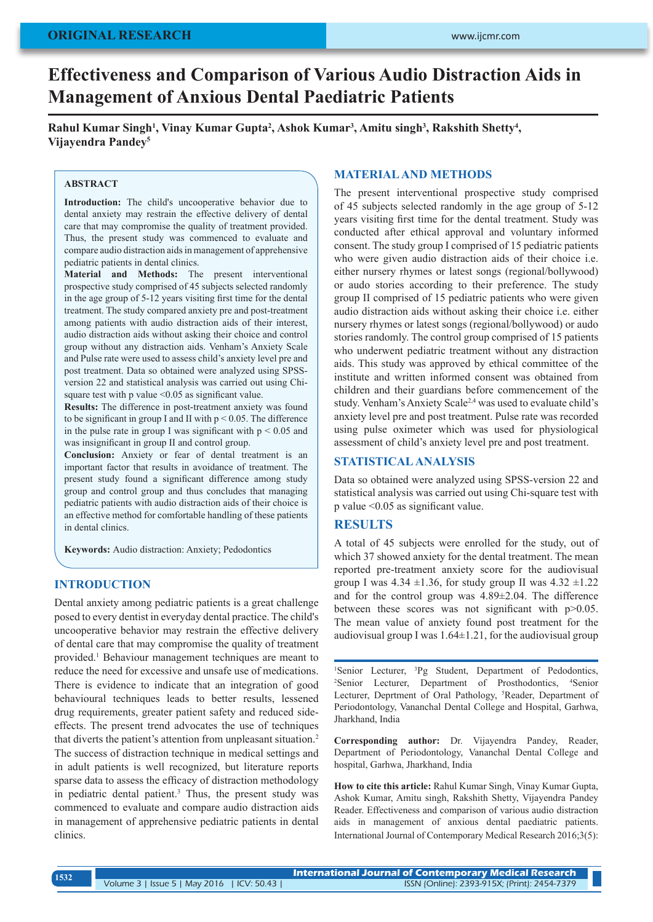# **Effectiveness and Comparison of Various Audio Distraction Aids in Management of Anxious Dental Paediatric Patients**

Rahul Kumar Singh<sup>1</sup>, Vinay Kumar Gupta<sup>2</sup>, Ashok Kumar<sup>3</sup>, Amitu singh<sup>3</sup>, Rakshith Shetty<sup>4</sup>, **Vijayendra Pandey5**

## **ABSTRACT**

**Introduction:** The child's uncooperative behavior due to dental anxiety may restrain the effective delivery of dental care that may compromise the quality of treatment provided. Thus, the present study was commenced to evaluate and compare audio distraction aids in management of apprehensive pediatric patients in dental clinics.

**Material and Methods:** The present interventional prospective study comprised of 45 subjects selected randomly in the age group of 5-12 years visiting first time for the dental treatment. The study compared anxiety pre and post-treatment among patients with audio distraction aids of their interest, audio distraction aids without asking their choice and control group without any distraction aids. Venham's Anxiety Scale and Pulse rate were used to assess child's anxiety level pre and post treatment. Data so obtained were analyzed using SPSSversion 22 and statistical analysis was carried out using Chisquare test with p value <0.05 as significant value.

**Results:** The difference in post-treatment anxiety was found to be significant in group I and II with  $p < 0.05$ . The difference in the pulse rate in group I was significant with  $p < 0.05$  and was insignificant in group II and control group.

**Conclusion:** Anxiety or fear of dental treatment is an important factor that results in avoidance of treatment. The present study found a significant difference among study group and control group and thus concludes that managing pediatric patients with audio distraction aids of their choice is an effective method for comfortable handling of these patients in dental clinics.

**Keywords:** Audio distraction: Anxiety; Pedodontics

### **INTRODUCTION**

Dental anxiety among pediatric patients is a great challenge posed to every dentist in everyday dental practice. The child's uncooperative behavior may restrain the effective delivery of dental care that may compromise the quality of treatment provided.1 Behaviour management techniques are meant to reduce the need for excessive and unsafe use of medications. There is evidence to indicate that an integration of good behavioural techniques leads to better results, lessened drug requirements, greater patient safety and reduced sideeffects. The present trend advocates the use of techniques that diverts the patient's attention from unpleasant situation.2 The success of distraction technique in medical settings and in adult patients is well recognized, but literature reports sparse data to assess the efficacy of distraction methodology in pediatric dental patient.<sup>3</sup> Thus, the present study was commenced to evaluate and compare audio distraction aids in management of apprehensive pediatric patients in dental clinics.

#### **MATERIAL AND METHODS**

The present interventional prospective study comprised of 45 subjects selected randomly in the age group of 5-12 years visiting first time for the dental treatment. Study was conducted after ethical approval and voluntary informed consent. The study group I comprised of 15 pediatric patients who were given audio distraction aids of their choice i.e. either nursery rhymes or latest songs (regional/bollywood) or audo stories according to their preference. The study group II comprised of 15 pediatric patients who were given audio distraction aids without asking their choice i.e. either nursery rhymes or latest songs (regional/bollywood) or audo stories randomly. The control group comprised of 15 patients who underwent pediatric treatment without any distraction aids. This study was approved by ethical committee of the institute and written informed consent was obtained from children and their guardians before commencement of the study. Venham's Anxiety Scale2,4 was used to evaluate child's anxiety level pre and post treatment. Pulse rate was recorded using pulse oximeter which was used for physiological assessment of child's anxiety level pre and post treatment.

#### **STATISTICAL ANALYSIS**

Data so obtained were analyzed using SPSS-version 22 and statistical analysis was carried out using Chi-square test with p value <0.05 as significant value.

#### **RESULTS**

A total of 45 subjects were enrolled for the study, out of which 37 showed anxiety for the dental treatment. The mean reported pre-treatment anxiety score for the audiovisual group I was  $4.34 \pm 1.36$ , for study group II was  $4.32 \pm 1.22$ and for the control group was 4.89±2.04. The difference between these scores was not significant with p>0.05. The mean value of anxiety found post treatment for the audiovisual group I was  $1.64 \pm 1.21$ , for the audiovisual group

<sup>1</sup>Senior Lecturer, <sup>3</sup>Pg Student, Department of Pedodontics, <sup>2</sup>Senior Lecturer, Department of Prosthodontics, <sup>4</sup>Senior Senior Lecturer, Department of Prosthodontics, <sup>4</sup>Senior Lecturer, Deprtment of Oral Pathology, <sup>5</sup>Reader, Department of Periodontology, Vananchal Dental College and Hospital, Garhwa, Jharkhand, India

**Corresponding author:** Dr. Vijayendra Pandey, Reader, Department of Periodontology, Vananchal Dental College and hospital, Garhwa, Jharkhand, India

**How to cite this article:** Rahul Kumar Singh, Vinay Kumar Gupta, Ashok Kumar, Amitu singh, Rakshith Shetty, Vijayendra Pandey Reader. Effectiveness and comparison of various audio distraction aids in management of anxious dental paediatric patients. International Journal of Contemporary Medical Research 2016;3(5):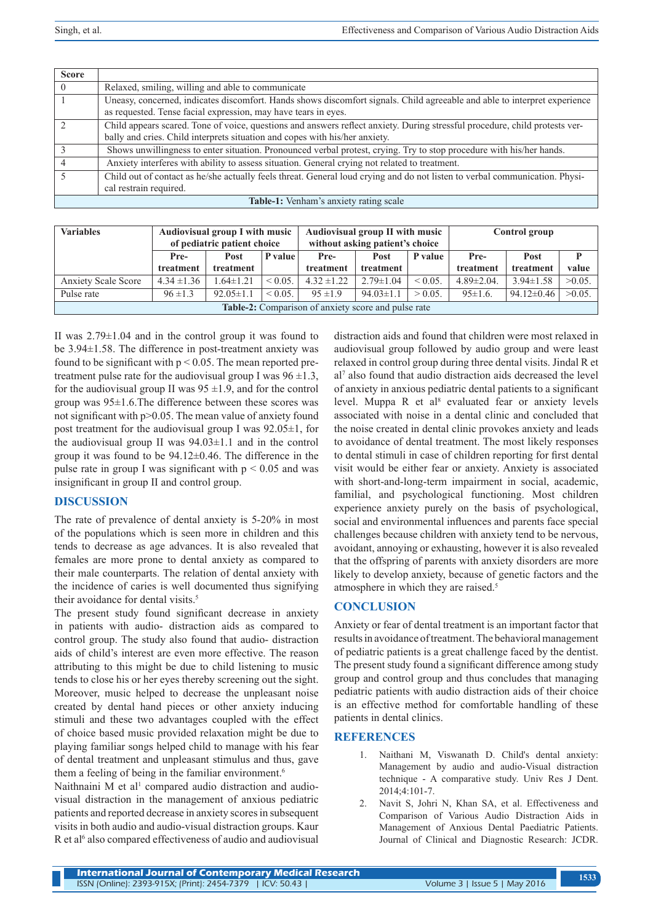| <b>Score</b>                           |                                                                                                                             |  |  |  |  |  |
|----------------------------------------|-----------------------------------------------------------------------------------------------------------------------------|--|--|--|--|--|
|                                        | Relaxed, smiling, willing and able to communicate                                                                           |  |  |  |  |  |
|                                        | Uneasy, concerned, indicates discomfort. Hands shows discomfort signals. Child agreeable and able to interpret experience   |  |  |  |  |  |
|                                        | as requested. Tense facial expression, may have tears in eyes.                                                              |  |  |  |  |  |
|                                        | Child appears scared. Tone of voice, questions and answers reflect anxiety. During stressful procedure, child protests ver- |  |  |  |  |  |
|                                        | bally and cries. Child interprets situation and copes with his/her anxiety.                                                 |  |  |  |  |  |
|                                        | Shows unwillingness to enter situation. Pronounced verbal protest, crying. Try to stop procedure with his/her hands.        |  |  |  |  |  |
|                                        | Anxiety interferes with ability to assess situation. General crying not related to treatment.                               |  |  |  |  |  |
|                                        | Child out of contact as he/she actually feels threat. General loud crying and do not listen to verbal communication. Physi- |  |  |  |  |  |
|                                        | cal restrain required.                                                                                                      |  |  |  |  |  |
| Table-1: Venham's anxiety rating scale |                                                                                                                             |  |  |  |  |  |

| <b>Variables</b>                                           | Audiovisual group I with music<br>of pediatric patient choice |                 |             | <b>Audiovisual group II with music</b><br>without asking patient's choice |                 |             | Control group     |                  |           |  |  |
|------------------------------------------------------------|---------------------------------------------------------------|-----------------|-------------|---------------------------------------------------------------------------|-----------------|-------------|-------------------|------------------|-----------|--|--|
|                                                            | Pre-                                                          | <b>Post</b>     | P value     | Pre-                                                                      | <b>Post</b>     | P value     | Pre-              | <b>Post</b>      | Þ         |  |  |
|                                                            | treatment                                                     | treatment       |             | treatment                                                                 | treatment       |             | treatment         | treatment        | value     |  |  |
| <b>Anxiety Scale Score</b>                                 | $4.34 \pm 1.36$                                               | $.64 \pm 1.21$  | ${}_{0.05}$ | $4.32 \pm 1.22$                                                           | $2.79 \pm 1.04$ | ${}< 0.05.$ | $4.89 \pm 2.04$ . | $3.94 \pm 1.58$  | $>0.05$ . |  |  |
| Pulse rate                                                 | $96 \pm 1.3$                                                  | $92.05 \pm 1.1$ | $0.05$ .    | $95 \pm 1.9$                                                              | $94.03 \pm 1.1$ | $> 0.05$ .  | $95\pm1.6$        | $94.12 \pm 0.46$ | $>0.05$ . |  |  |
| <b>Table-2:</b> Comparison of anxiety score and pulse rate |                                                               |                 |             |                                                                           |                 |             |                   |                  |           |  |  |

II was 2.79±1.04 and in the control group it was found to be 3.94±1.58. The difference in post-treatment anxiety was found to be significant with  $p < 0.05$ . The mean reported pretreatment pulse rate for the audiovisual group I was  $96 \pm 1.3$ , for the audiovisual group II was  $95 \pm 1.9$ , and for the control group was 95±1.6.The difference between these scores was not significant with p>0.05. The mean value of anxiety found post treatment for the audiovisual group I was 92.05±1, for the audiovisual group II was  $94.03 \pm 1.1$  and in the control group it was found to be 94.12±0.46. The difference in the pulse rate in group I was significant with  $p < 0.05$  and was insignificant in group II and control group.

### **DISCUSSION**

The rate of prevalence of dental anxiety is 5-20% in most of the populations which is seen more in children and this tends to decrease as age advances. It is also revealed that females are more prone to dental anxiety as compared to their male counterparts. The relation of dental anxiety with the incidence of caries is well documented thus signifying their avoidance for dental visits.<sup>5</sup>

The present study found significant decrease in anxiety in patients with audio- distraction aids as compared to control group. The study also found that audio- distraction aids of child's interest are even more effective. The reason attributing to this might be due to child listening to music tends to close his or her eyes thereby screening out the sight. Moreover, music helped to decrease the unpleasant noise created by dental hand pieces or other anxiety inducing stimuli and these two advantages coupled with the effect of choice based music provided relaxation might be due to playing familiar songs helped child to manage with his fear of dental treatment and unpleasant stimulus and thus, gave them a feeling of being in the familiar environment.<sup>6</sup>

Naithnaini M et al<sup>1</sup> compared audio distraction and audiovisual distraction in the management of anxious pediatric patients and reported decrease in anxiety scores in subsequent visits in both audio and audio-visual distraction groups. Kaur R et al<sup>6</sup> also compared effectiveness of audio and audiovisual distraction aids and found that children were most relaxed in audiovisual group followed by audio group and were least relaxed in control group during three dental visits. Jindal R et al7 also found that audio distraction aids decreased the level of anxiety in anxious pediatric dental patients to a significant level. Muppa  $R$  et al<sup>8</sup> evaluated fear or anxiety levels associated with noise in a dental clinic and concluded that the noise created in dental clinic provokes anxiety and leads to avoidance of dental treatment. The most likely responses to dental stimuli in case of children reporting for first dental visit would be either fear or anxiety. Anxiety is associated with short-and-long-term impairment in social, academic, familial, and psychological functioning. Most children experience anxiety purely on the basis of psychological, social and environmental influences and parents face special challenges because children with anxiety tend to be nervous, avoidant, annoying or exhausting, however it is also revealed that the offspring of parents with anxiety disorders are more likely to develop anxiety, because of genetic factors and the atmosphere in which they are raised.5

## **CONCLUSION**

Anxiety or fear of dental treatment is an important factor that results in avoidance of treatment. The behavioral management of pediatric patients is a great challenge faced by the dentist. The present study found a significant difference among study group and control group and thus concludes that managing pediatric patients with audio distraction aids of their choice is an effective method for comfortable handling of these patients in dental clinics.

#### **REFERENCES**

- 1. Naithani M, Viswanath D. Child's dental anxiety: Management by audio and audio-Visual distraction technique - A comparative study. Univ Res J Dent. 2014;4:101-7.
- 2. Navit S, Johri N, Khan SA, et al. Effectiveness and Comparison of Various Audio Distraction Aids in Management of Anxious Dental Paediatric Patients. Journal of Clinical and Diagnostic Research: JCDR.